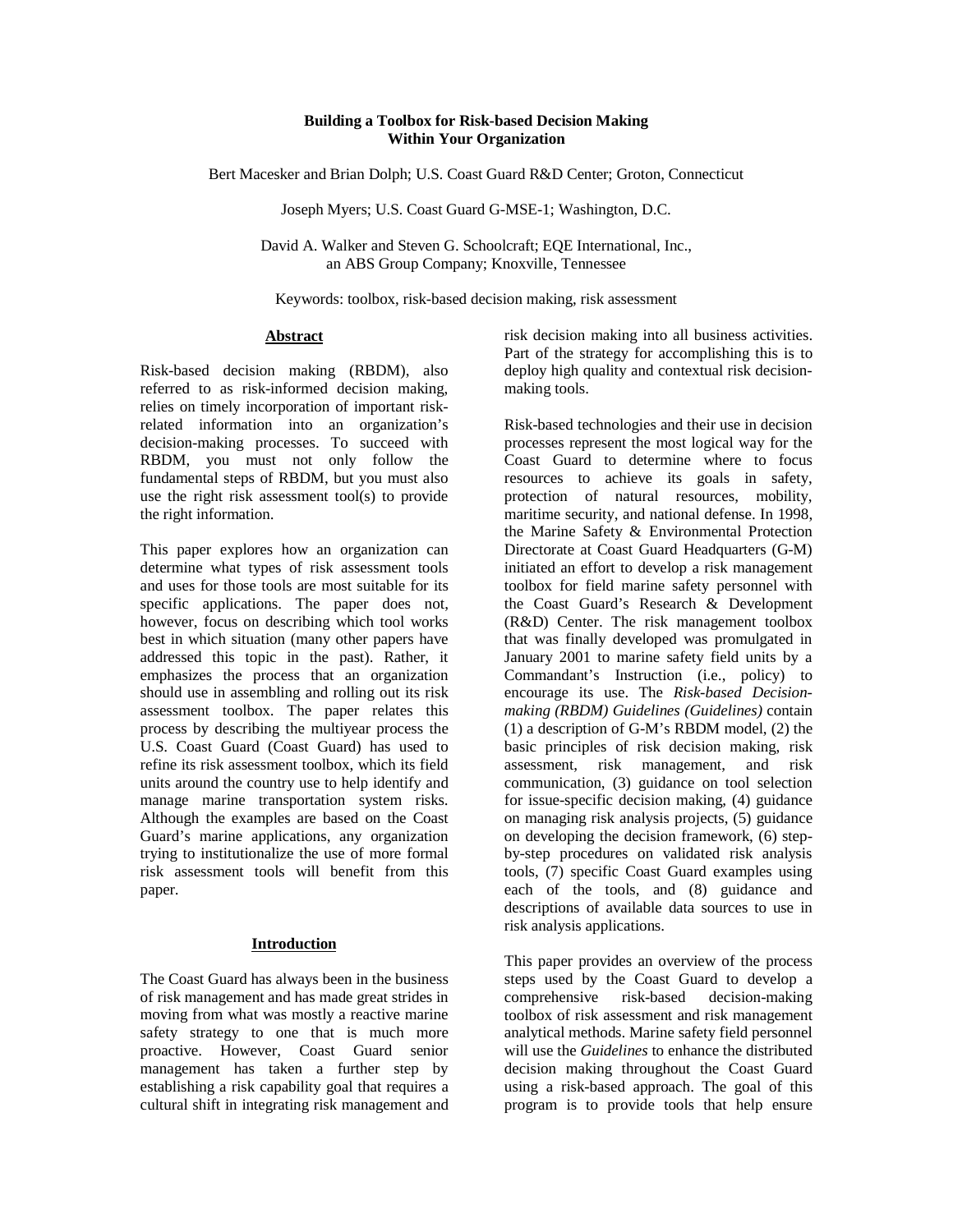### **Building a Toolbox for Risk-based Decision Making Within Your Organization**

Bert Macesker and Brian Dolph; U.S. Coast Guard R&D Center; Groton, Connecticut

Joseph Myers; U.S. Coast Guard G-MSE-1; Washington, D.C.

David A. Walker and Steven G. Schoolcraft; EQE International, Inc., an ABS Group Company; Knoxville, Tennessee

Keywords: toolbox, risk-based decision making, risk assessment

#### **Abstract**

Risk-based decision making (RBDM), also referred to as risk-informed decision making, relies on timely incorporation of important riskrelated information into an organization's decision-making processes. To succeed with RBDM, you must not only follow the fundamental steps of RBDM, but you must also use the right risk assessment tool(s) to provide the right information.

This paper explores how an organization can determine what types of risk assessment tools and uses for those tools are most suitable for its specific applications. The paper does not, however, focus on describing which tool works best in which situation (many other papers have addressed this topic in the past). Rather, it emphasizes the process that an organization should use in assembling and rolling out its risk assessment toolbox. The paper relates this process by describing the multiyear process the U.S. Coast Guard (Coast Guard) has used to refine its risk assessment toolbox, which its field units around the country use to help identify and manage marine transportation system risks. Although the examples are based on the Coast Guard's marine applications, any organization trying to institutionalize the use of more formal risk assessment tools will benefit from this paper.

### **Introduction**

The Coast Guard has always been in the business of risk management and has made great strides in moving from what was mostly a reactive marine safety strategy to one that is much more proactive. However, Coast Guard senior management has taken a further step by establishing a risk capability goal that requires a cultural shift in integrating risk management and

risk decision making into all business activities. Part of the strategy for accomplishing this is to deploy high quality and contextual risk decisionmaking tools.

Risk-based technologies and their use in decision processes represent the most logical way for the Coast Guard to determine where to focus resources to achieve its goals in safety, protection of natural resources, mobility, maritime security, and national defense. In 1998, the Marine Safety & Environmental Protection Directorate at Coast Guard Headquarters (G-M) initiated an effort to develop a risk management toolbox for field marine safety personnel with the Coast Guard's Research & Development (R&D) Center. The risk management toolbox that was finally developed was promulgated in January 2001 to marine safety field units by a Commandant's Instruction (i.e., policy) to encourage its use. The *Risk-based Decisionmaking (RBDM) Guidelines (Guidelines)* contain (1) a description of G-M's RBDM model, (2) the basic principles of risk decision making, risk assessment, risk management, and risk communication, (3) guidance on tool selection for issue-specific decision making, (4) guidance on managing risk analysis projects, (5) guidance on developing the decision framework, (6) stepby-step procedures on validated risk analysis tools, (7) specific Coast Guard examples using each of the tools, and (8) guidance and descriptions of available data sources to use in risk analysis applications.

This paper provides an overview of the process steps used by the Coast Guard to develop a comprehensive risk-based decision-making toolbox of risk assessment and risk management analytical methods. Marine safety field personnel will use the *Guidelines* to enhance the distributed decision making throughout the Coast Guard using a risk-based approach. The goal of this program is to provide tools that help ensure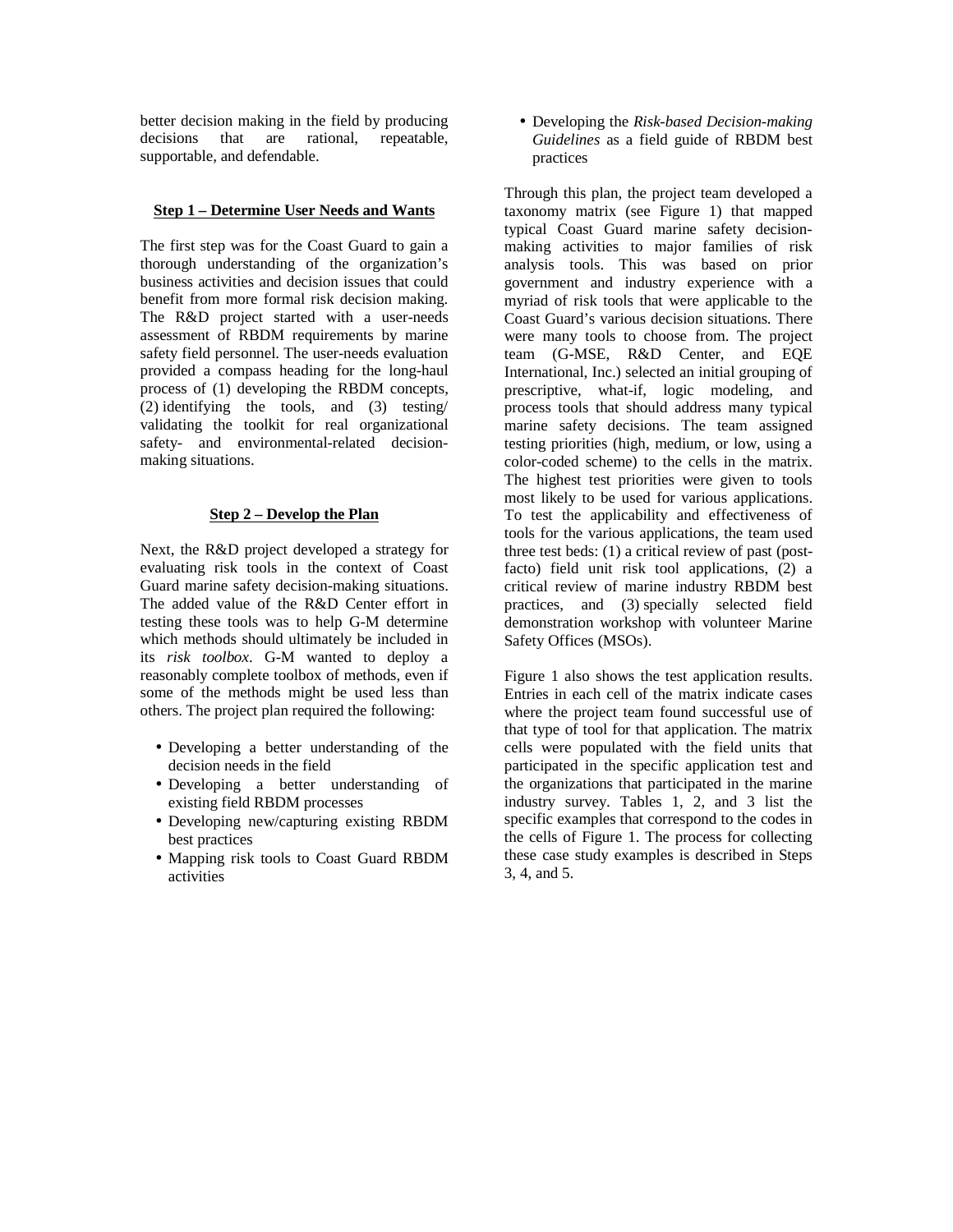better decision making in the field by producing decisions that are rational, repeatable, supportable, and defendable.

# **Step 1 – Determine User Needs and Wants**

The first step was for the Coast Guard to gain a thorough understanding of the organization's business activities and decision issues that could benefit from more formal risk decision making. The R&D project started with a user-needs assessment of RBDM requirements by marine safety field personnel. The user-needs evaluation provided a compass heading for the long-haul process of (1) developing the RBDM concepts, (2) identifying the tools, and (3) testing/ validating the toolkit for real organizational safety- and environmental-related decisionmaking situations.

## **Step 2 – Develop the Plan**

Next, the R&D project developed a strategy for evaluating risk tools in the context of Coast Guard marine safety decision-making situations. The added value of the R&D Center effort in testing these tools was to help G-M determine which methods should ultimately be included in its *risk toolbox*. G-M wanted to deploy a reasonably complete toolbox of methods, even if some of the methods might be used less than others. The project plan required the following:

- Developing a better understanding of the decision needs in the field
- Developing a better understanding of existing field RBDM processes
- Developing new/capturing existing RBDM best practices
- Mapping risk tools to Coast Guard RBDM activities

• Developing the *Risk-based Decision-making Guidelines* as a field guide of RBDM best practices

Through this plan, the project team developed a taxonomy matrix (see Figure 1) that mapped typical Coast Guard marine safety decisionmaking activities to major families of risk analysis tools. This was based on prior government and industry experience with a myriad of risk tools that were applicable to the Coast Guard's various decision situations. There were many tools to choose from. The project team (G-MSE, R&D Center, and EQE International, Inc.) selected an initial grouping of prescriptive, what-if, logic modeling, and process tools that should address many typical marine safety decisions. The team assigned testing priorities (high, medium, or low, using a color-coded scheme) to the cells in the matrix. The highest test priorities were given to tools most likely to be used for various applications. To test the applicability and effectiveness of tools for the various applications, the team used three test beds: (1) a critical review of past (postfacto) field unit risk tool applications, (2) a critical review of marine industry RBDM best practices, and (3) specially selected field demonstration workshop with volunteer Marine Safety Offices (MSOs).

Figure 1 also shows the test application results. Entries in each cell of the matrix indicate cases where the project team found successful use of that type of tool for that application. The matrix cells were populated with the field units that participated in the specific application test and the organizations that participated in the marine industry survey. Tables 1, 2, and 3 list the specific examples that correspond to the codes in the cells of Figure 1. The process for collecting these case study examples is described in Steps 3, 4, and 5.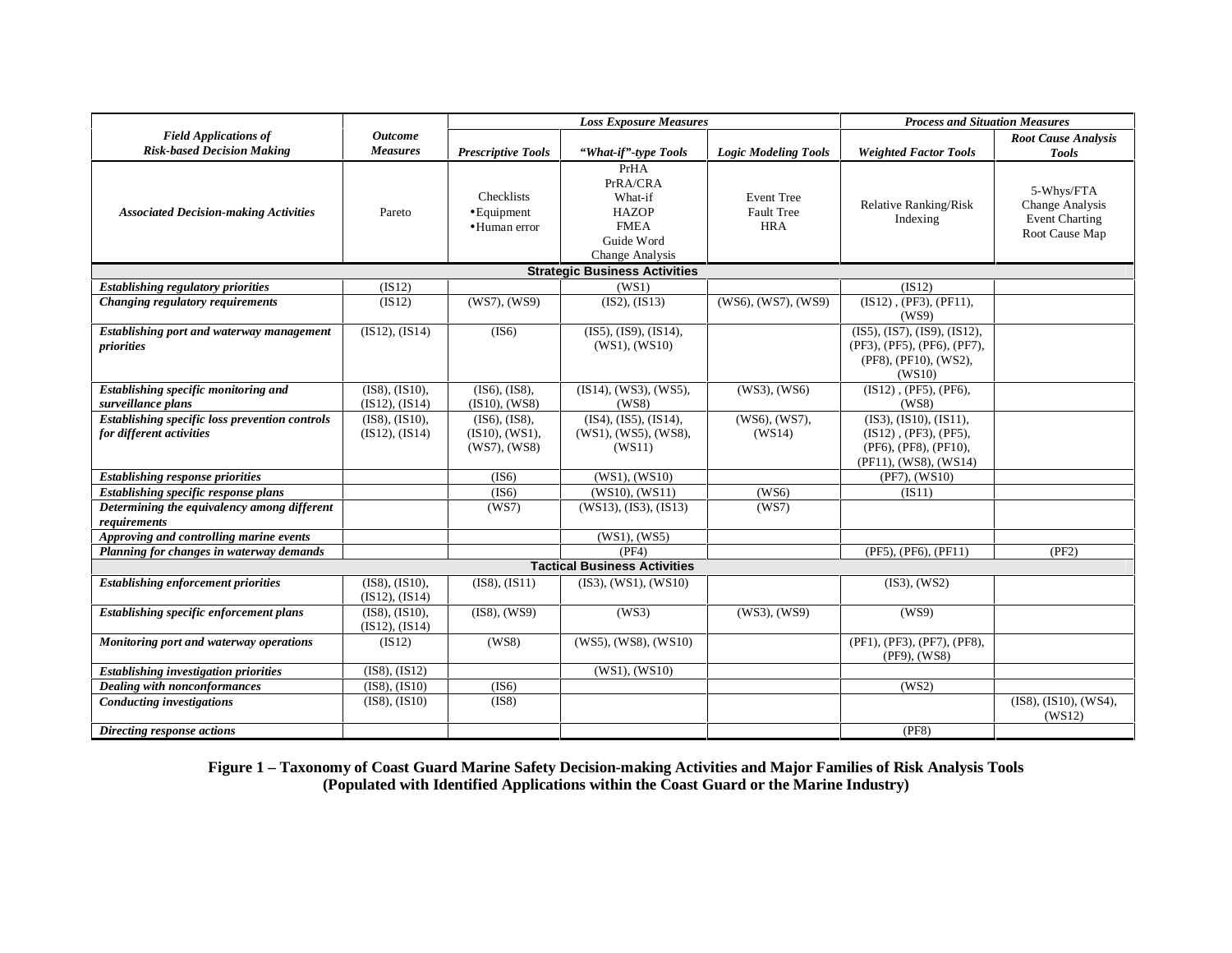|                                                                            |                                             | <b>Loss Exposure Measures</b>                              |                                                                                             |                                                      | <b>Process and Situation Measures</b>                                                                      |                                                                          |
|----------------------------------------------------------------------------|---------------------------------------------|------------------------------------------------------------|---------------------------------------------------------------------------------------------|------------------------------------------------------|------------------------------------------------------------------------------------------------------------|--------------------------------------------------------------------------|
| <b>Field Applications of</b>                                               | <i><b>Outcome</b></i>                       |                                                            |                                                                                             |                                                      |                                                                                                            | <b>Root Cause Analysis</b>                                               |
| <b>Risk-based Decision Making</b>                                          | <b>Measures</b>                             | <b>Prescriptive Tools</b>                                  | "What-if"-type Tools                                                                        | <b>Logic Modeling Tools</b>                          | <b>Weighted Factor Tools</b>                                                                               | <b>Tools</b>                                                             |
| <b>Associated Decision-making Activities</b>                               | Pareto                                      | Checklists<br>$\bullet$ Equipment<br>• Human error         | PrHA<br>PrRA/CRA<br>What-if<br><b>HAZOP</b><br><b>FMEA</b><br>Guide Word<br>Change Analysis | <b>Event Tree</b><br><b>Fault Tree</b><br><b>HRA</b> | <b>Relative Ranking/Risk</b><br>Indexing                                                                   | 5-Whys/FTA<br>Change Analysis<br><b>Event Charting</b><br>Root Cause Map |
|                                                                            |                                             |                                                            | <b>Strategic Business Activities</b>                                                        |                                                      |                                                                                                            |                                                                          |
| <b>Establishing regulatory priorities</b>                                  | (IS12)                                      |                                                            | (WS1)                                                                                       |                                                      | (IS12)                                                                                                     |                                                                          |
| Changing regulatory requirements                                           | (IS12)                                      | $(WS7)$ , $(WS9)$                                          | (IS2), (IS13)                                                                               | (WS6), (WS7), (WS9)                                  | $(IS12)$ , $(PF3)$ , $(PF11)$ ,<br>(WS9)                                                                   |                                                                          |
| Establishing port and waterway management<br>priorities                    | (IS12), (IS14)                              | (IS6)                                                      | (IS5), (IS9), (IS14),<br>(WS1), (WS10)                                                      |                                                      | (IS5), (IS7), (IS9), (IS12),<br>(PF3), (PF5), (PF6), (PF7),<br>(PF8), (PF10), (WS2),<br>(WS10)             |                                                                          |
| <b>Establishing specific monitoring and</b><br>surveillance plans          | $(IS8)$ , $(IS10)$ ,<br>(IS12), (IS14)      | $(IS6)$ , $(IS8)$ ,<br>$(IS10)$ , $(WS8)$                  | $(IS14)$ , $(WS3)$ , $(WS5)$ ,<br>(WS8)                                                     | (WS3), (WS6)                                         | $(IS12)$ , $(PF5)$ , $(PF6)$ ,<br>(WS8)                                                                    |                                                                          |
| Establishing specific loss prevention controls<br>for different activities | $(IS8)$ , $(IS10)$ ,<br>$(IS12)$ , $(IS14)$ | $(IS6)$ , $(IS8)$ ,<br>(IS10), (WS1),<br>$(WS7)$ , $(WS8)$ | $(IS4)$ , $(IS5)$ , $(IS14)$ ,<br>$(WS1)$ , $(WS5)$ , $(WS8)$ ,<br>(WS11)                   | $(WS6)$ , $(WS7)$ ,<br>(WS14)                        | (IS3), (IS10), (IS11),<br>$(IS12)$ , $(PF3)$ , $(PF5)$ ,<br>(PF6), (PF8), (PF10),<br>(PF11), (WS8), (WS14) |                                                                          |
| <b>Establishing response priorities</b>                                    |                                             | (IS6)                                                      | (WS1), (WS10)                                                                               |                                                      | $(PF7)$ , $(WS10)$                                                                                         |                                                                          |
| Establishing specific response plans                                       |                                             | (IS6)                                                      | (WS10), (WS11)                                                                              | (WS6)                                                | (IS11)                                                                                                     |                                                                          |
| Determining the equivalency among different<br>requirements                |                                             | (WS7)                                                      | $(WS13)$ , $(IS3)$ , $(IS13)$                                                               | (WS7)                                                |                                                                                                            |                                                                          |
| Approving and controlling marine events                                    |                                             |                                                            | $(WS1)$ , $(WS5)$                                                                           |                                                      |                                                                                                            |                                                                          |
| Planning for changes in waterway demands                                   |                                             |                                                            | (PF4)                                                                                       |                                                      | (PF5), (PF6), (PF11)                                                                                       | (PF2)                                                                    |
|                                                                            |                                             |                                                            | <b>Tactical Business Activities</b>                                                         |                                                      |                                                                                                            |                                                                          |
| <b>Establishing enforcement priorities</b>                                 | $(IS8)$ , $(IS10)$ ,<br>(IS12), (IS14)      | (IS8), (IS11)                                              | (IS3), (WS1), (WS10)                                                                        |                                                      | (IS3), (WS2)                                                                                               |                                                                          |
| <b>Establishing specific enforcement plans</b>                             | $(IS8)$ , $(IS10)$ ,<br>(IS12), (IS14)      | (ISS), (WS9)                                               | (WS3)                                                                                       | $(WS3)$ , $(WS9)$                                    | (WS9)                                                                                                      |                                                                          |
| Monitoring port and waterway operations                                    | (IS12)                                      | (WS8)                                                      | $(WS5)$ , $(WS8)$ , $(WS10)$                                                                |                                                      | (PF1), (PF3), (PF7), (PF8),<br>$(PF9)$ , $(WS8)$                                                           |                                                                          |
| <b>Establishing investigation priorities</b>                               | (IS8), (IS12)                               |                                                            | (WS1), (WS10)                                                                               |                                                      |                                                                                                            |                                                                          |
| Dealing with nonconformances                                               | (IS8), (IS10)                               | (IS6)                                                      |                                                                                             |                                                      | (WS2)                                                                                                      |                                                                          |
| <b>Conducting investigations</b>                                           | (IS8), (IS10)                               | (IS8)                                                      |                                                                                             |                                                      |                                                                                                            | (IS8), (IS10), (WS4),<br>(WS12)                                          |
| Directing response actions                                                 |                                             |                                                            |                                                                                             |                                                      | (PF8)                                                                                                      |                                                                          |

**Figure 1 – Taxonomy of Coast Guard Marine Safety Decision-making Activities and Major Families of Risk Analysis Tools (Populated with Identified Applications within the Coast Guard or the Marine Industry)**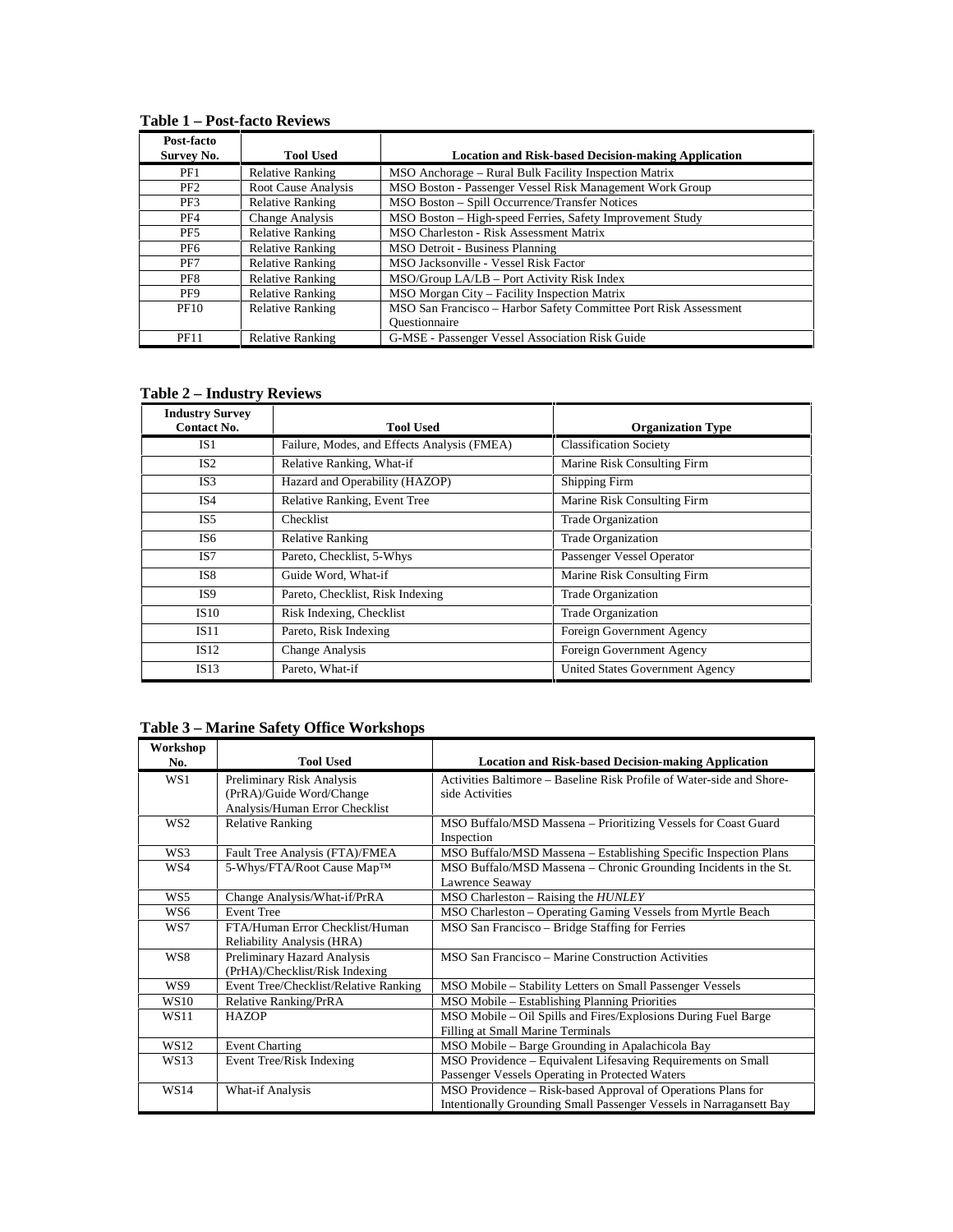# **Table 1 – Post-facto Reviews**

| Post-facto<br>Survey No. | <b>Tool Used</b>           | <b>Location and Risk-based Decision-making Application</b>       |
|--------------------------|----------------------------|------------------------------------------------------------------|
| PF1                      | <b>Relative Ranking</b>    | MSO Anchorage – Rural Bulk Facility Inspection Matrix            |
| PF <sub>2</sub>          | <b>Root Cause Analysis</b> | MSO Boston - Passenger Vessel Risk Management Work Group         |
| PF3                      | <b>Relative Ranking</b>    | MSO Boston - Spill Occurrence/Transfer Notices                   |
| PF4                      | Change Analysis            | MSO Boston - High-speed Ferries, Safety Improvement Study        |
| PF5                      | <b>Relative Ranking</b>    | MSO Charleston - Risk Assessment Matrix                          |
| PF <sub>6</sub>          | <b>Relative Ranking</b>    | MSO Detroit - Business Planning                                  |
| PF7                      | <b>Relative Ranking</b>    | MSO Jacksonville - Vessel Risk Factor                            |
| PF8                      | <b>Relative Ranking</b>    | MSO/Group LA/LB – Port Activity Risk Index                       |
| PF9                      | <b>Relative Ranking</b>    | MSO Morgan City – Facility Inspection Matrix                     |
| PF10                     | <b>Relative Ranking</b>    | MSO San Francisco – Harbor Safety Committee Port Risk Assessment |
|                          |                            | Ouestionnaire                                                    |
| <b>PF11</b>              | <b>Relative Ranking</b>    | G-MSE - Passenger Vessel Association Risk Guide                  |

# **Table 2 – Industry Reviews**

| <b>Industry Survey</b><br><b>Contact No.</b> | <b>Tool Used</b>                            | <b>Organization Type</b>        |
|----------------------------------------------|---------------------------------------------|---------------------------------|
| IS1                                          | Failure, Modes, and Effects Analysis (FMEA) | <b>Classification Society</b>   |
| IS2                                          | Relative Ranking, What-if                   | Marine Risk Consulting Firm     |
| IS3                                          | Hazard and Operability (HAZOP)              | Shipping Firm                   |
| IS4                                          | <b>Relative Ranking, Event Tree</b>         | Marine Risk Consulting Firm     |
| IS5                                          | Checklist                                   | <b>Trade Organization</b>       |
| IS6                                          | <b>Relative Ranking</b>                     | <b>Trade Organization</b>       |
| IS7                                          | Pareto, Checklist, 5-Whys                   | Passenger Vessel Operator       |
| IS8                                          | Guide Word, What-if                         | Marine Risk Consulting Firm     |
| IS9                                          | Pareto, Checklist, Risk Indexing            | <b>Trade Organization</b>       |
| IS10                                         | Risk Indexing, Checklist                    | <b>Trade Organization</b>       |
| IS11                                         | Pareto, Risk Indexing                       | Foreign Government Agency       |
| <b>IS12</b>                                  | Change Analysis                             | Foreign Government Agency       |
| <b>IS13</b>                                  | Pareto, What-if                             | United States Government Agency |

# **Table 3 – Marine Safety Office Workshops**

| Workshop        |                                         |                                                                       |
|-----------------|-----------------------------------------|-----------------------------------------------------------------------|
| No.             | <b>Tool Used</b>                        | <b>Location and Risk-based Decision-making Application</b>            |
| WS1             | Preliminary Risk Analysis               | Activities Baltimore – Baseline Risk Profile of Water-side and Shore- |
|                 | (PrRA)/Guide Word/Change                | side Activities                                                       |
|                 | Analysis/Human Error Checklist          |                                                                       |
| WS <sub>2</sub> | <b>Relative Ranking</b>                 | MSO Buffalo/MSD Massena – Prioritizing Vessels for Coast Guard        |
|                 |                                         | Inspection                                                            |
| WS3             | Fault Tree Analysis (FTA)/FMEA          | MSO Buffalo/MSD Massena – Establishing Specific Inspection Plans      |
| WS4             | 5-Whys/FTA/Root Cause Map <sup>TM</sup> | MSO Buffalo/MSD Massena – Chronic Grounding Incidents in the St.      |
|                 |                                         | Lawrence Seaway                                                       |
| WS5             | Change Analysis/What-if/PrRA            | $MSO$ Charleston – Raising the $HUNLEY$                               |
| WS6             | <b>Event Tree</b>                       | MSO Charleston - Operating Gaming Vessels from Myrtle Beach           |
| WS7             | FTA/Human Error Checklist/Human         | MSO San Francisco - Bridge Staffing for Ferries                       |
|                 | Reliability Analysis (HRA)              |                                                                       |
| WS8             | Preliminary Hazard Analysis             | MSO San Francisco – Marine Construction Activities                    |
|                 | (PrHA)/Checklist/Risk Indexing          |                                                                       |
| WS9             | Event Tree/Checklist/Relative Ranking   | MSO Mobile – Stability Letters on Small Passenger Vessels             |
| <b>WS10</b>     | <b>Relative Ranking/PrRA</b>            | MSO Mobile – Establishing Planning Priorities                         |
| WS11            | <b>HAZOP</b>                            | MSO Mobile – Oil Spills and Fires/Explosions During Fuel Barge        |
|                 |                                         | Filling at Small Marine Terminals                                     |
| WS12            | <b>Event Charting</b>                   | MSO Mobile – Barge Grounding in Apalachicola Bay                      |
| WS13            | Event Tree/Risk Indexing                | MSO Providence – Equivalent Lifesaving Requirements on Small          |
|                 |                                         | Passenger Vessels Operating in Protected Waters                       |
| <b>WS14</b>     | What-if Analysis                        | MSO Providence – Risk-based Approval of Operations Plans for          |
|                 |                                         | Intentionally Grounding Small Passenger Vessels in Narragansett Bay   |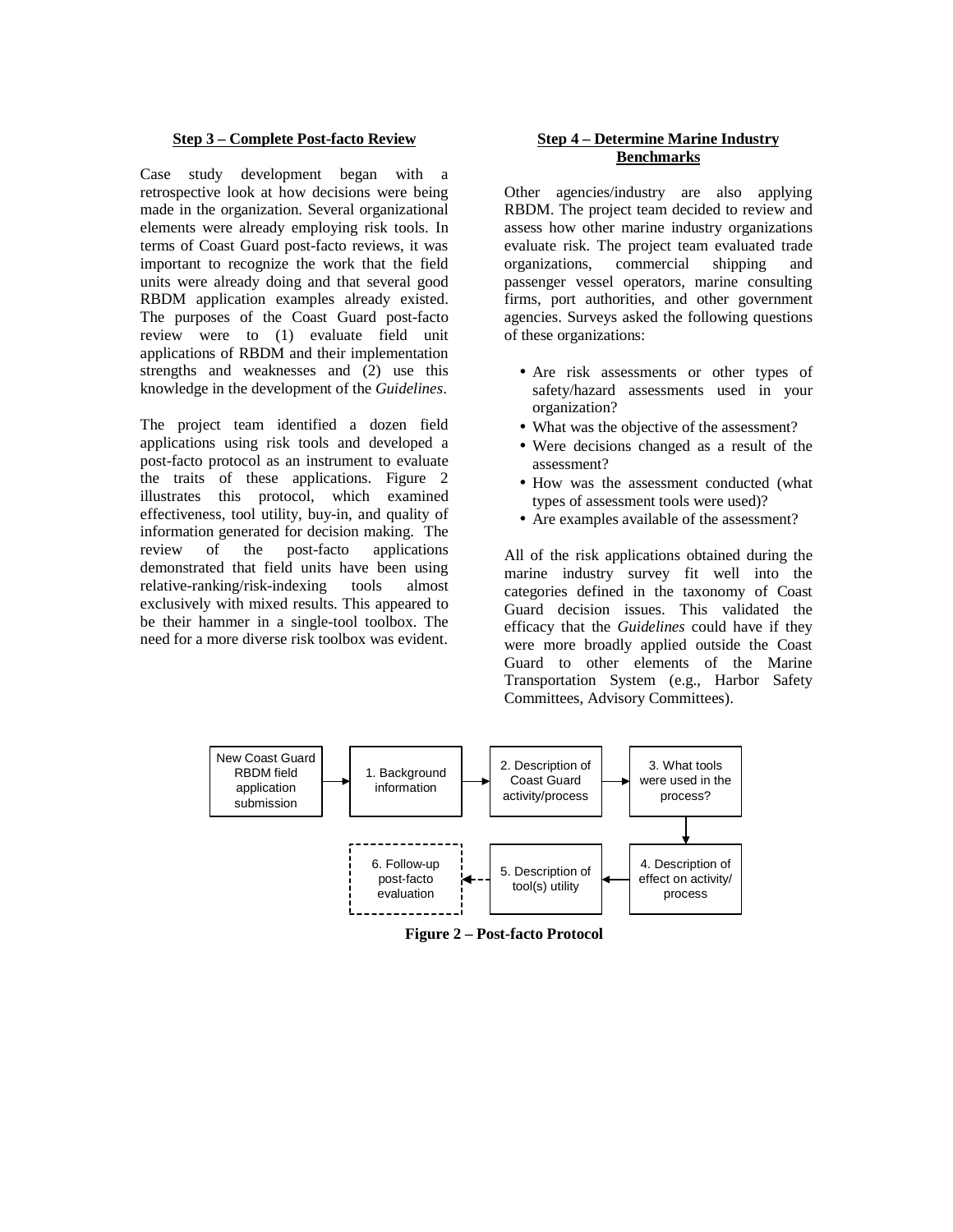### **Step 3 – Complete Post-facto Review**

Case study development began with a retrospective look at how decisions were being made in the organization. Several organizational elements were already employing risk tools. In terms of Coast Guard post-facto reviews, it was important to recognize the work that the field units were already doing and that several good RBDM application examples already existed. The purposes of the Coast Guard post-facto review were to (1) evaluate field unit applications of RBDM and their implementation strengths and weaknesses and (2) use this knowledge in the development of the *Guidelines*.

The project team identified a dozen field applications using risk tools and developed a post-facto protocol as an instrument to evaluate the traits of these applications. Figure 2 illustrates this protocol, which examined effectiveness, tool utility, buy-in, and quality of information generated for decision making. The review of the post-facto applications demonstrated that field units have been using relative-ranking/risk-indexing tools almost exclusively with mixed results. This appeared to be their hammer in a single-tool toolbox. The need for a more diverse risk toolbox was evident.

# **Step 4 – Determine Marine Industry Benchmarks**

Other agencies/industry are also applying RBDM. The project team decided to review and assess how other marine industry organizations evaluate risk. The project team evaluated trade organizations, commercial shipping and passenger vessel operators, marine consulting firms, port authorities, and other government agencies. Surveys asked the following questions of these organizations:

- Are risk assessments or other types of safety/hazard assessments used in your organization?
- What was the objective of the assessment?
- Were decisions changed as a result of the assessment?
- How was the assessment conducted (what types of assessment tools were used)?
- Are examples available of the assessment?

All of the risk applications obtained during the marine industry survey fit well into the categories defined in the taxonomy of Coast Guard decision issues. This validated the efficacy that the *Guidelines* could have if they were more broadly applied outside the Coast Guard to other elements of the Marine Transportation System (e.g., Harbor Safety Committees, Advisory Committees).



**Figure 2 – Post-facto Protocol**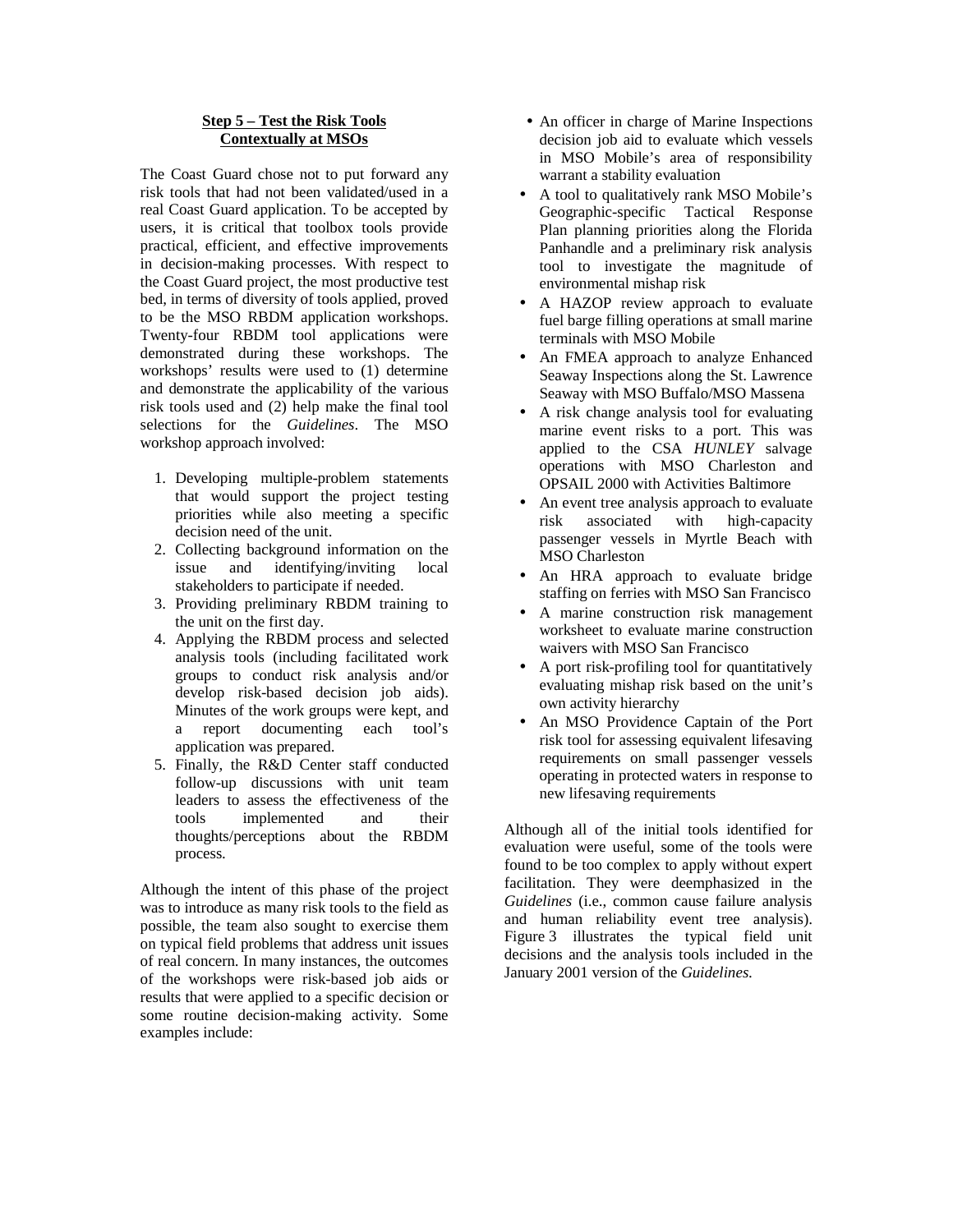## **Step 5 – Test the Risk Tools Contextually at MSOs**

The Coast Guard chose not to put forward any risk tools that had not been validated/used in a real Coast Guard application. To be accepted by users, it is critical that toolbox tools provide practical, efficient, and effective improvements in decision-making processes. With respect to the Coast Guard project, the most productive test bed, in terms of diversity of tools applied, proved to be the MSO RBDM application workshops. Twenty-four RBDM tool applications were demonstrated during these workshops. The workshops' results were used to (1) determine and demonstrate the applicability of the various risk tools used and (2) help make the final tool selections for the *Guidelines*. The MSO workshop approach involved:

- 1. Developing multiple-problem statements that would support the project testing priorities while also meeting a specific decision need of the unit.
- 2. Collecting background information on the issue and identifying/inviting local stakeholders to participate if needed.
- 3. Providing preliminary RBDM training to the unit on the first day.
- 4. Applying the RBDM process and selected analysis tools (including facilitated work groups to conduct risk analysis and/or develop risk-based decision job aids). Minutes of the work groups were kept, and a report documenting each tool's application was prepared.
- 5. Finally, the R&D Center staff conducted follow-up discussions with unit team leaders to assess the effectiveness of the tools implemented and their thoughts/perceptions about the RBDM process.

Although the intent of this phase of the project was to introduce as many risk tools to the field as possible, the team also sought to exercise them on typical field problems that address unit issues of real concern. In many instances, the outcomes of the workshops were risk-based job aids or results that were applied to a specific decision or some routine decision-making activity. Some examples include:

- An officer in charge of Marine Inspections decision job aid to evaluate which vessels in MSO Mobile's area of responsibility warrant a stability evaluation
- A tool to qualitatively rank MSO Mobile's Geographic-specific Tactical Response Plan planning priorities along the Florida Panhandle and a preliminary risk analysis tool to investigate the magnitude of environmental mishap risk
- A HAZOP review approach to evaluate fuel barge filling operations at small marine terminals with MSO Mobile
- An FMEA approach to analyze Enhanced Seaway Inspections along the St. Lawrence Seaway with MSO Buffalo/MSO Massena
- A risk change analysis tool for evaluating marine event risks to a port. This was applied to the CSA *HUNLEY* salvage operations with MSO Charleston and OPSAIL 2000 with Activities Baltimore
- An event tree analysis approach to evaluate risk associated with high-capacity passenger vessels in Myrtle Beach with MSO Charleston
- An HRA approach to evaluate bridge staffing on ferries with MSO San Francisco
- A marine construction risk management worksheet to evaluate marine construction waivers with MSO San Francisco
- A port risk-profiling tool for quantitatively evaluating mishap risk based on the unit's own activity hierarchy
- An MSO Providence Captain of the Port risk tool for assessing equivalent lifesaving requirements on small passenger vessels operating in protected waters in response to new lifesaving requirements

Although all of the initial tools identified for evaluation were useful, some of the tools were found to be too complex to apply without expert facilitation. They were deemphasized in the *Guidelines* (i.e., common cause failure analysis and human reliability event tree analysis). Figure 3 illustrates the typical field unit decisions and the analysis tools included in the January 2001 version of the *Guidelines*.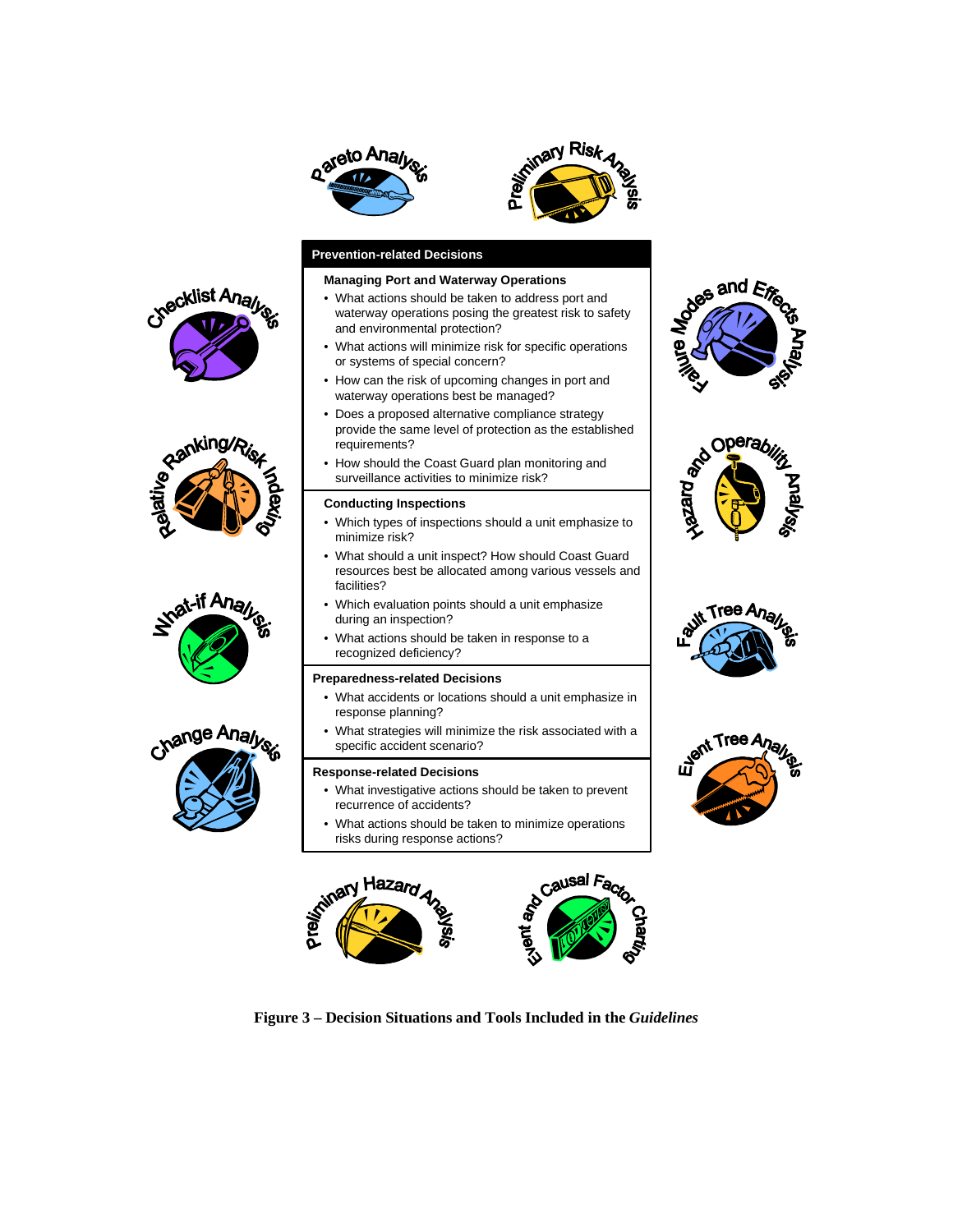



### **Prevention-related Decisions**

#### **Managing Port and Waterway Operations**

- What actions should be taken to address port and waterway operations posing the greatest risk to safety and environmental protection?
- What actions will minimize risk for specific operations or systems of special concern?
- How can the risk of upcoming changes in port and waterway operations best be managed?
- Does a proposed alternative compliance strategy provide the same level of protection as the established requirements?
- How should the Coast Guard plan monitoring and surveillance activities to minimize risk?

#### **Conducting Inspections**

- Which types of inspections should a unit emphasize to minimize risk?
- What should a unit inspect? How should Coast Guard resources best be allocated among various vessels and facilities?
- Which evaluation points should a unit emphasize during an inspection?
- What actions should be taken in response to a recognized deficiency?

#### **Preparedness-related Decisions**

- What accidents or locations should a unit emphasize in response planning?
- What strategies will minimize the risk associated with a specific accident scenario?

#### **Response-related Decisions**

- What investigative actions should be taken to prevent recurrence of accidents?
- What actions should be taken to minimize operations risks during response actions?



**Figure 3 – Decision Situations and Tools Included in the** *Guidelines*











Ranking/A



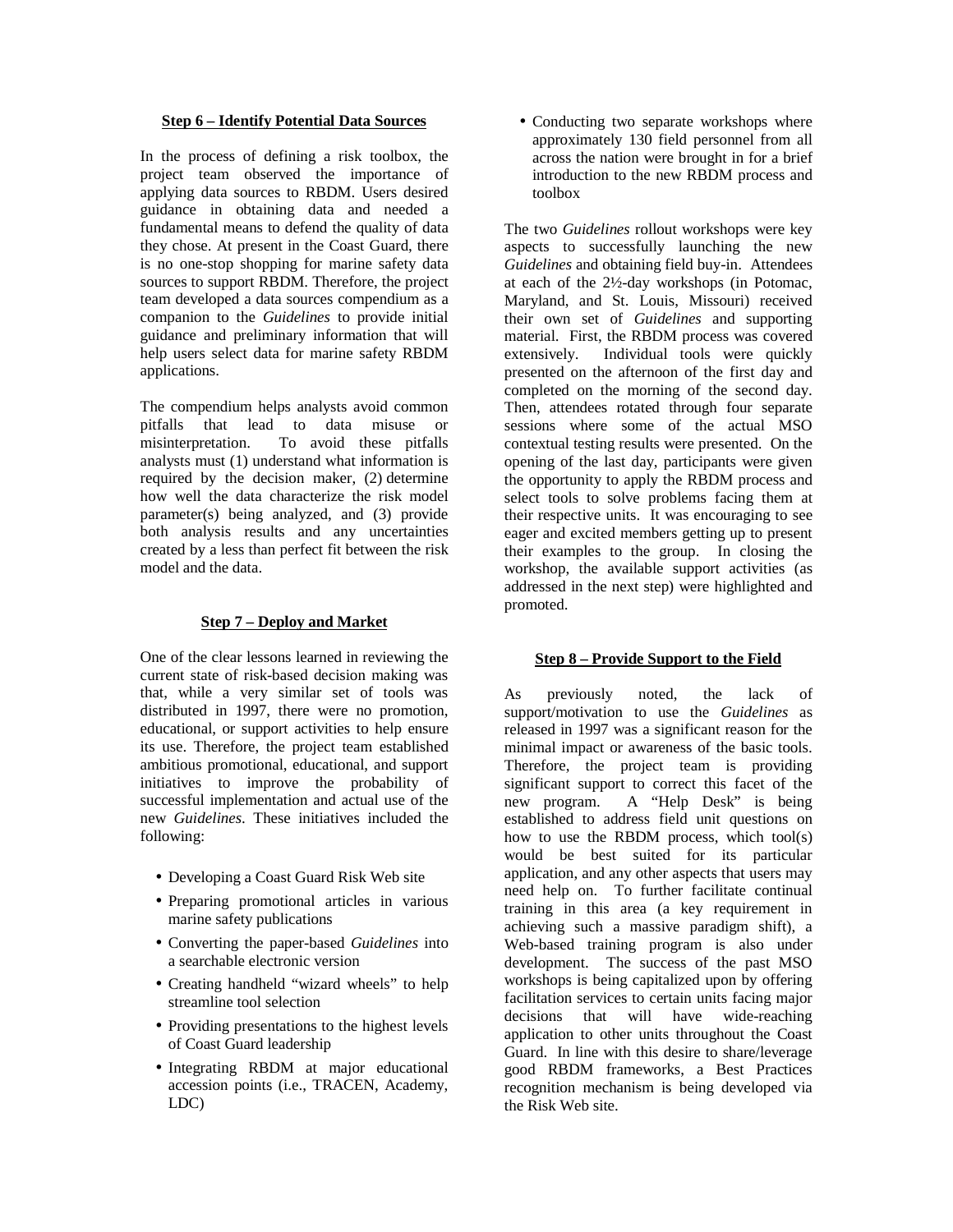#### **Step 6 – Identify Potential Data Sources**

In the process of defining a risk toolbox, the project team observed the importance of applying data sources to RBDM. Users desired guidance in obtaining data and needed a fundamental means to defend the quality of data they chose. At present in the Coast Guard, there is no one-stop shopping for marine safety data sources to support RBDM. Therefore, the project team developed a data sources compendium as a companion to the *Guidelines* to provide initial guidance and preliminary information that will help users select data for marine safety RBDM applications.

The compendium helps analysts avoid common pitfalls that lead to data misuse or misinterpretation. To avoid these pitfalls analysts must (1) understand what information is required by the decision maker, (2) determine how well the data characterize the risk model parameter(s) being analyzed, and (3) provide both analysis results and any uncertainties created by a less than perfect fit between the risk model and the data.

### **Step 7 – Deploy and Market**

One of the clear lessons learned in reviewing the current state of risk-based decision making was that, while a very similar set of tools was distributed in 1997, there were no promotion, educational, or support activities to help ensure its use. Therefore, the project team established ambitious promotional, educational, and support initiatives to improve the probability of successful implementation and actual use of the new *Guidelines*. These initiatives included the following:

- Developing a Coast Guard Risk Web site
- Preparing promotional articles in various marine safety publications
- Converting the paper-based *Guidelines* into a searchable electronic version
- Creating handheld "wizard wheels" to help streamline tool selection
- Providing presentations to the highest levels of Coast Guard leadership
- Integrating RBDM at major educational accession points (i.e., TRACEN, Academy, LDC)

• Conducting two separate workshops where approximately 130 field personnel from all across the nation were brought in for a brief introduction to the new RBDM process and toolbox

The two *Guidelines* rollout workshops were key aspects to successfully launching the new *Guidelines* and obtaining field buy-in. Attendees at each of the 2½-day workshops (in Potomac, Maryland, and St. Louis, Missouri) received their own set of *Guidelines* and supporting material. First, the RBDM process was covered extensively. Individual tools were quickly presented on the afternoon of the first day and completed on the morning of the second day. Then, attendees rotated through four separate sessions where some of the actual MSO contextual testing results were presented. On the opening of the last day, participants were given the opportunity to apply the RBDM process and select tools to solve problems facing them at their respective units. It was encouraging to see eager and excited members getting up to present their examples to the group. In closing the workshop, the available support activities (as addressed in the next step) were highlighted and promoted.

# **Step 8 – Provide Support to the Field**

As previously noted, the lack of support/motivation to use the *Guidelines* as released in 1997 was a significant reason for the minimal impact or awareness of the basic tools. Therefore, the project team is providing significant support to correct this facet of the new program. A "Help Desk" is being established to address field unit questions on how to use the RBDM process, which tool(s) would be best suited for its particular application, and any other aspects that users may need help on. To further facilitate continual training in this area (a key requirement in achieving such a massive paradigm shift), a Web-based training program is also under development. The success of the past MSO workshops is being capitalized upon by offering facilitation services to certain units facing major decisions that will have wide-reaching application to other units throughout the Coast Guard. In line with this desire to share/leverage good RBDM frameworks, a Best Practices recognition mechanism is being developed via the Risk Web site.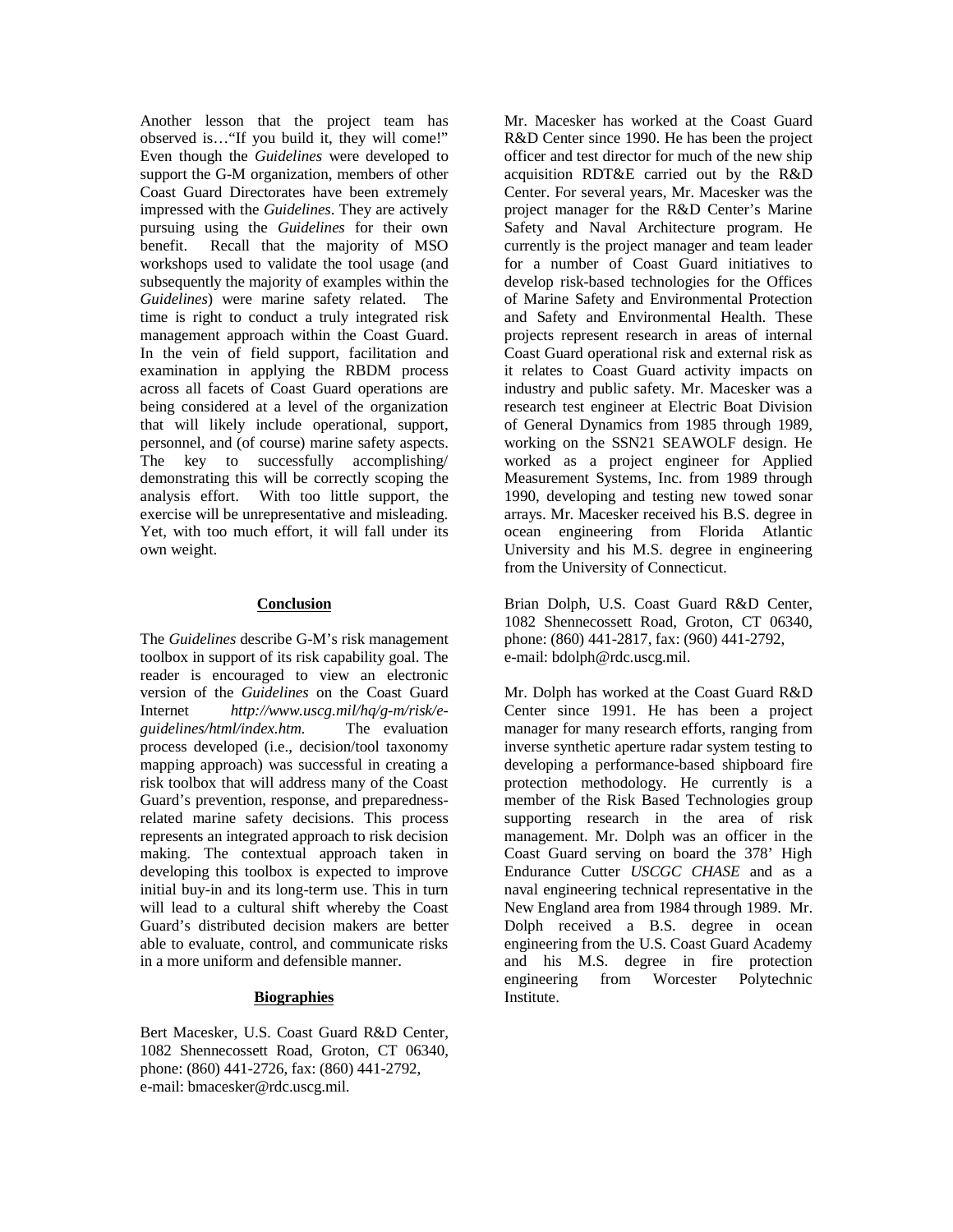Another lesson that the project team has observed is…"If you build it, they will come!" Even though the *Guidelines* were developed to support the G-M organization, members of other Coast Guard Directorates have been extremely impressed with the *Guidelines*. They are actively pursuing using the *Guidelines* for their own benefit. Recall that the majority of MSO workshops used to validate the tool usage (and subsequently the majority of examples within the *Guidelines*) were marine safety related. The time is right to conduct a truly integrated risk management approach within the Coast Guard. In the vein of field support, facilitation and examination in applying the RBDM process across all facets of Coast Guard operations are being considered at a level of the organization that will likely include operational, support, personnel, and (of course) marine safety aspects. The key to successfully accomplishing/ demonstrating this will be correctly scoping the analysis effort. With too little support, the exercise will be unrepresentative and misleading. Yet, with too much effort, it will fall under its own weight.

## **Conclusion**

The *Guidelines* describe G-M's risk management toolbox in support of its risk capability goal. The reader is encouraged to view an electronic version of the *Guidelines* on the Coast Guard Internet *http://www.uscg.mil/hq/g-m/risk/eguidelines/html/index.htm.* The evaluation process developed (i.e., decision/tool taxonomy mapping approach) was successful in creating a risk toolbox that will address many of the Coast Guard's prevention, response, and preparednessrelated marine safety decisions. This process represents an integrated approach to risk decision making. The contextual approach taken in developing this toolbox is expected to improve initial buy-in and its long-term use. This in turn will lead to a cultural shift whereby the Coast Guard's distributed decision makers are better able to evaluate, control, and communicate risks in a more uniform and defensible manner.

### **Biographies**

Bert Macesker, U.S. Coast Guard R&D Center, 1082 Shennecossett Road, Groton, CT 06340, phone: (860) 441-2726, fax: (860) 441-2792, e-mail: bmacesker@rdc.uscg.mil.

Mr. Macesker has worked at the Coast Guard R&D Center since 1990. He has been the project officer and test director for much of the new ship acquisition RDT&E carried out by the R&D Center. For several years, Mr. Macesker was the project manager for the R&D Center's Marine Safety and Naval Architecture program. He currently is the project manager and team leader for a number of Coast Guard initiatives to develop risk-based technologies for the Offices of Marine Safety and Environmental Protection and Safety and Environmental Health. These projects represent research in areas of internal Coast Guard operational risk and external risk as it relates to Coast Guard activity impacts on industry and public safety. Mr. Macesker was a research test engineer at Electric Boat Division of General Dynamics from 1985 through 1989, working on the SSN21 SEAWOLF design. He worked as a project engineer for Applied Measurement Systems, Inc. from 1989 through 1990, developing and testing new towed sonar arrays. Mr. Macesker received his B.S. degree in ocean engineering from Florida Atlantic University and his M.S. degree in engineering from the University of Connecticut.

Brian Dolph, U.S. Coast Guard R&D Center, 1082 Shennecossett Road, Groton, CT 06340, phone: (860) 441-2817, fax: (960) 441-2792, e-mail: bdolph@rdc.uscg.mil.

Mr. Dolph has worked at the Coast Guard R&D Center since 1991. He has been a project manager for many research efforts, ranging from inverse synthetic aperture radar system testing to developing a performance-based shipboard fire protection methodology. He currently is a member of the Risk Based Technologies group supporting research in the area of risk management. Mr. Dolph was an officer in the Coast Guard serving on board the 378' High Endurance Cutter *USCGC CHASE* and as a naval engineering technical representative in the New England area from 1984 through 1989. Mr. Dolph received a B.S. degree in ocean engineering from the U.S. Coast Guard Academy and his M.S. degree in fire protection engineering from Worcester Polytechnic Institute.